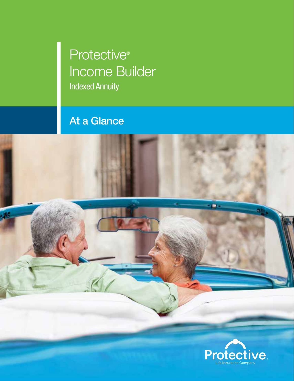# Protective<sup>®</sup> Income Builder Indexed Annuity

## At a Glance

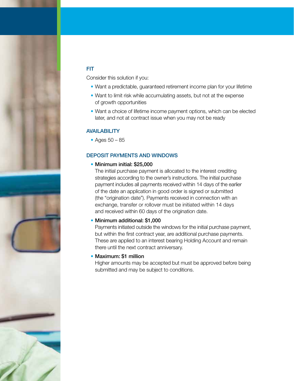

### FIT

Consider this solution if you:

- Want a predictable, guaranteed retirement income plan for your lifetime
- Want to limit risk while accumulating assets, but not at the expense of growth opportunities
- Want a choice of lifetime income payment options, which can be elected later, and not at contract issue when you may not be ready

#### **AVAILABILITY**

• Ages 50 – 85

#### DEPOSIT PAYMENTS AND WINDOWS

• Minimum initial: \$25,000

The initial purchase payment is allocated to the interest crediting strategies according to the owner's instructions. The initial purchase payment includes all payments received within 14 days of the earlier of the date an application in good order is signed or submitted (the "origination date"). Payments received in connection with an exchange, transfer or rollover must be initiated within 14 days and received within 60 days of the origination date.

#### • Minimum additional: \$1,000

Payments initiated outside the windows for the initial purchase payment, but within the first contract year, are additional purchase payments. These are applied to an interest bearing Holding Account and remain there until the next contract anniversary.

#### • Maximum: \$1 million

Higher amounts may be accepted but must be approved before being submitted and may be subject to conditions.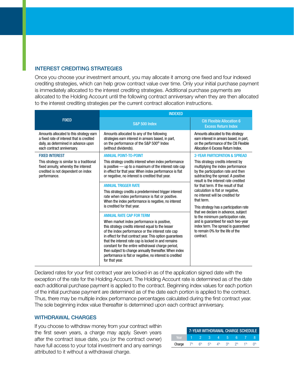#### INTEREST CREDITING STRATEGIES

Once you choose your investment amount, you may allocate it among one fixed and four indexed crediting strategies, which can help grow contract value over time. Only your initial purchase payment is immediately allocated to the interest crediting strategies. Additional purchase payments are allocated to the Holding Account until the following contract anniversary when they are then allocated to the interest crediting strategies per the current contract allocation instructions.

|                                                                                                                                                                 | <b>INDEXED</b>                                                                                                                                                                                                                                                                                                                                                                                                                                                                                                                                                                                                                                                                                                                                                                                                                                                                                                                                                                                             |                                                                                                                                                                                                                                                                                                                                                                                                                                                                                                                                                                                                                             |  |  |  |
|-----------------------------------------------------------------------------------------------------------------------------------------------------------------|------------------------------------------------------------------------------------------------------------------------------------------------------------------------------------------------------------------------------------------------------------------------------------------------------------------------------------------------------------------------------------------------------------------------------------------------------------------------------------------------------------------------------------------------------------------------------------------------------------------------------------------------------------------------------------------------------------------------------------------------------------------------------------------------------------------------------------------------------------------------------------------------------------------------------------------------------------------------------------------------------------|-----------------------------------------------------------------------------------------------------------------------------------------------------------------------------------------------------------------------------------------------------------------------------------------------------------------------------------------------------------------------------------------------------------------------------------------------------------------------------------------------------------------------------------------------------------------------------------------------------------------------------|--|--|--|
| <b>FIXED</b>                                                                                                                                                    | <b>S&amp;P 500 Index</b>                                                                                                                                                                                                                                                                                                                                                                                                                                                                                                                                                                                                                                                                                                                                                                                                                                                                                                                                                                                   | <b>Citi Flexible Allocation 6</b><br><b>Excess Return Index</b>                                                                                                                                                                                                                                                                                                                                                                                                                                                                                                                                                             |  |  |  |
| Amounts allocated to this strategy earn<br>a fixed rate of interest that is credited<br>daily, as determined in advance upon<br>each contract anniversary.      | Amounts allocated to any of the following<br>strategies earn interest in arrears based, in part,<br>on the performance of the S&P 500 <sup>®</sup> Index<br>(without dividends).                                                                                                                                                                                                                                                                                                                                                                                                                                                                                                                                                                                                                                                                                                                                                                                                                           | Amounts allocated to this strategy<br>earn interest in arrears based, in part,<br>on the performance of the Citi Flexible<br>Allocation 6 Excess Return Index.                                                                                                                                                                                                                                                                                                                                                                                                                                                              |  |  |  |
| <b>FIXED INTEREST</b><br>This strategy is similar to a traditional<br>fixed annuity, whereby the interest<br>credited is not dependent on index<br>performance. | <b>ANNUAL POINT-TO-POINT</b><br>This strategy credits interest when index performance<br>is positive - up to a maximum of the interest rate cap<br>in effect for that year. When index performance is flat<br>or negative, no interest is credited that year.<br><b>ANNUAL TRIGGER RATE</b><br>This strategy credits a predetermined trigger interest<br>rate when index performance is flat or positive.<br>When the index performance is negative, no interest<br>is credited for that year.<br><b>ANNUAL RATE CAP FOR TERM</b><br>When market index performance is positive,<br>this strategy credits interest equal to the lesser<br>of the index performance or the interest rate cap<br>in effect for that contract year. This option quarantees<br>that the interest rate cap is locked in and remains<br>constant for the entire withdrawal charge period,<br>then subject to change annually thereafter. When index<br>performance is flat or negative, no interest is credited<br>for that year. | <b>2-YEAR PARTICIPATION &amp; SPREAD</b><br>This strategy credits interest by<br>multiplying the index performance<br>by the participation rate and then<br>subtracting the spread. A positive<br>result is the interest rate credited<br>for that term. If the result of that<br>calculation is flat or negative,<br>no interest will be credited for<br>that term.<br>This strategy has a participation rate<br>that we declare in advance, subject<br>to the minimum participation rate.<br>and is guaranteed for each two-year<br>index term. The spread is guaranteed<br>to remain 0% for the life of the<br>contract. |  |  |  |

Declared rates for your first contract year are locked-in as of the application signed date with the exception of the rate for the Holding Account. The Holding Account rate is determined as of the date each additional purchase payment is applied to the contract. Beginning index values for each portion of the initial purchase payment are determined as of the date each portion is applied to the contract. Thus, there may be multiple index performance percentages calculated during the first contract year. The sole beginning index value thereafter is determined upon each contract anniversary.

#### WITHDRAWAL CHARGES

If you choose to withdraw money from your contract within the first seven years, a charge may apply. Seven years after the contract issue date, you (or the contract owner) have full access to your total investment and any earnings attributed to it without a withdrawal charge.

|        | 7-YEAR WITHDRAWAL CHARGE SCHEDULE |                      |                   |       |                   |            |    |  |
|--------|-----------------------------------|----------------------|-------------------|-------|-------------------|------------|----|--|
| Near.  |                                   |                      | <b>STATISTICS</b> |       | $4 \quad 5 \quad$ | $\kappa$ / |    |  |
| Charge |                                   | $7\%$ 6 <sup>%</sup> | $5\%$             | $4\%$ | 3%                | つ%         | 1% |  |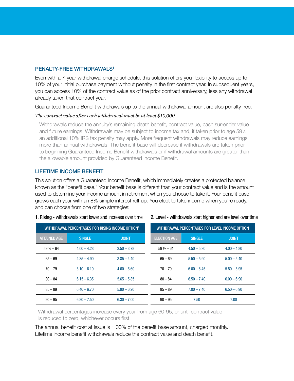#### PENALTY-FREE WITHDRAWALS<sup>1</sup>

Even with a 7-year withdrawal charge schedule, this solution offers you flexibility to access up to 10% of your initial purchase payment without penalty in the first contract year. In subsequent years, you can access 10% of the contract value as of the prior contract anniversary, less any withdrawal already taken that contract year.

Guaranteed Income Benefit withdrawals up to the annual withdrawal amount are also penalty free.

#### *The contract value after each withdrawal must be at least \$10,000.*

<sup>1</sup> Withdrawals reduce the annuity's remaining death benefit, contract value, cash surrender value and future earnings. Withdrawals may be subject to income tax and, if taken prior to age 59½, an additional 10% IRS tax penalty may apply. More frequent withdrawals may reduce earnings more than annual withdrawals. The benefit base will decrease if withdrawals are taken prior to beginning Guaranteed Income Benefit withdrawals or if withdrawal amounts are greater than the allowable amount provided by Guaranteed Income Benefit.

#### LIFETIME INCOME BENEFIT

This solution offers a Guaranteed Income Benefit, which immediately creates a protected balance known as the "benefit base." Your benefit base is different than your contract value and is the amount used to determine your income amount in retirement when you choose to take it. Your benefit base grows each year with an 8% simple interest roll-up. You elect to take income when you're ready, and can choose from one of two strategies:

| WITHDRAWAL PERCENTAGES FOR RISING INCOME OPTION <sup>1</sup> |               |               | WITHDRAWAL PERCENTAGES FOR LEVEL INCOME OPTION |               |               |  |
|--------------------------------------------------------------|---------------|---------------|------------------------------------------------|---------------|---------------|--|
| <b>ATTAINED AGE</b>                                          | <b>SINGLE</b> | <b>JOINT</b>  | <b>ELECTION AGE</b>                            | <b>SINGLE</b> | <b>JOINT</b>  |  |
| $59\frac{1}{2} - 64$                                         | $4.00 - 4.28$ | $3.50 - 3.78$ | $59\frac{1}{2} - 64$                           | $4.50 - 5.30$ | $4.00 - 4.80$ |  |
| $65 - 69$                                                    | $4.35 - 4.90$ | $3.85 - 4.40$ | $65 - 69$                                      | $5.50 - 5.90$ | $5.00 - 5.40$ |  |
| $70 - 79$                                                    | $5.10 - 6.10$ | $4.60 - 5.60$ | $70 - 79$                                      | $6.00 - 6.45$ | $5.50 - 5.95$ |  |
| $80 - 84$                                                    | $6.15 - 6.35$ | $5.65 - 5.85$ | $80 - 84$                                      | $6.50 - 7.40$ | $6.00 - 6.90$ |  |
| $85 - 89$                                                    | $6.40 - 6.70$ | $5.90 - 6.20$ | $85 - 89$                                      | $7.00 - 7.40$ | $6.50 - 6.90$ |  |
| $90 - 95$                                                    | $6.80 - 7.50$ | $6.30 - 7.00$ | $90 - 95$                                      | 7.50          | 7.00          |  |

#### 1. Rising - withdrawals start lower and increase over time 2. Level - withdrawals start higher and are level over time

<sup>1</sup> Withdrawal percentages increase every year from age 60-95, or until contract value is reduced to zero, whichever occurs first.

The annual benefit cost at issue is 1.00% of the benefit base amount, charged monthly. Lifetime income benefit withdrawals reduce the contract value and death benefit.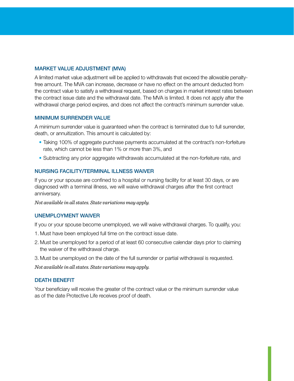#### MARKET VALUE ADJUSTMENT (MVA)

A limited market value adjustment will be applied to withdrawals that exceed the allowable penaltyfree amount. The MVA can increase, decrease or have no effect on the amount deducted from the contract value to satisfy a withdrawal request, based on charges in market interest rates between the contract issue date and the withdrawal date. The MVA is limited. It does not apply after the withdrawal charge period expires, and does not affect the contract's minimum surrender value.

#### MINIMUM SURRENDER VALUE

A minimum surrender value is guaranteed when the contract is terminated due to full surrender, death, or annuitization. This amount is calculated by:

- Taking 100% of aggregate purchase payments accumulated at the contract's non-forfeiture rate, which cannot be less than 1% or more than 3%, and
- Subtracting any prior aggregate withdrawals accumulated at the non-forfeiture rate, and

#### NURSING FACILITY/TERMINAL ILLNESS WAIVER

If you or your spouse are confined to a hospital or nursing facility for at least 30 days, or are diagnosed with a terminal illness, we will waive withdrawal charges after the first contract anniversary.

*Not available in all states. State variations may apply.*

#### UNEMPLOYMENT WAIVER

If you or your spouse become unemployed, we will waive withdrawal charges. To qualify, you:

- 1. Must have been employed full time on the contract issue date.
- 2. Must be unemployed for a period of at least 60 consecutive calendar days prior to claiming the waiver of the withdrawal charge.
- 3. Must be unemployed on the date of the full surrender or partial withdrawal is requested.

*Not available in all states. State variations may apply.*

#### DEATH BENEFIT

Your beneficiary will receive the greater of the contract value or the minimum surrender value as of the date Protective Life receives proof of death.